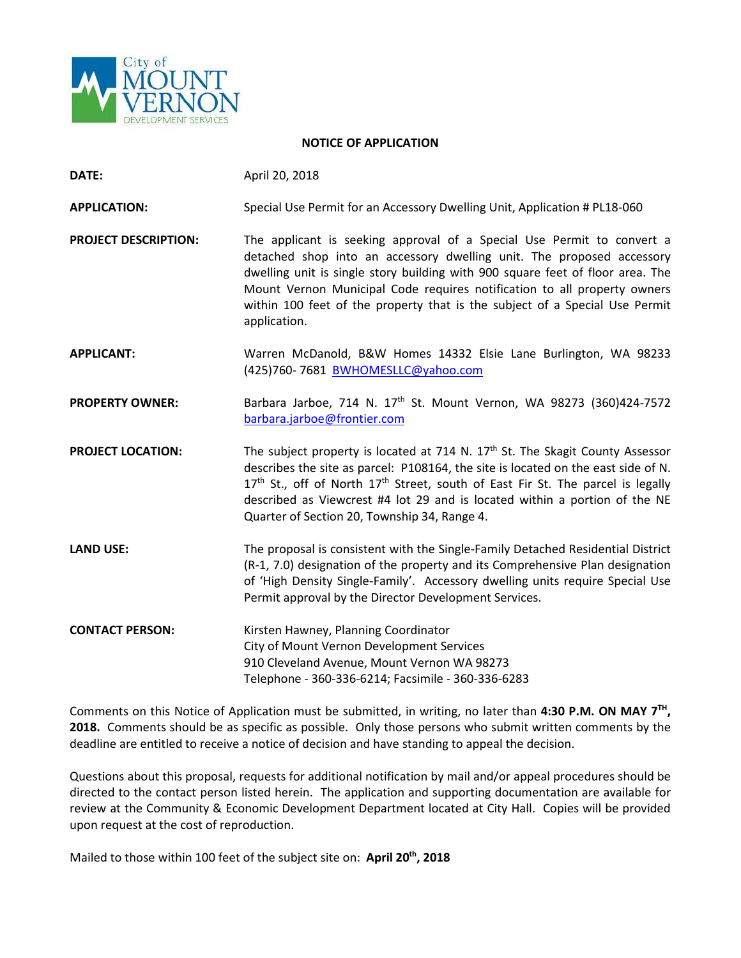

#### **NOTICE OF APPLICATION**

**DATE:** April 20, 2018

**APPLICATION:** Special Use Permit for an Accessory Dwelling Unit, Application # PL18-060

**PROJECT DESCRIPTION:** The applicant is seeking approval of a Special Use Permit to convert a detached shop into an accessory dwelling unit. The proposed accessory dwelling unit is single story building with 900 square feet of floor area. The Mount Vernon Municipal Code requires notification to all property owners within 100 feet of the property that is the subject of a Special Use Permit application.

**APPLICANT:** Warren McDanold, B&W Homes 14332 Elsie Lane Burlington, WA 98233 (425)760- 7681 [BWHOMESLLC@yahoo.com](mailto:BWHOMESLLC@yahoo.com)

PROPERTY OWNER: Barbara Jarboe, 714 N. 17<sup>th</sup> St. Mount Vernon, WA 98273 (360)424-7572 [barbara.jarboe@frontier.com](mailto:barbara.jarboe@frontier.com)

**PROJECT LOCATION:** The subject property is located at 714 N. 17<sup>th</sup> St. The Skagit County Assessor describes the site as parcel: P108164, the site is located on the east side of N.  $17<sup>th</sup>$  St., off of North  $17<sup>th</sup>$  Street, south of East Fir St. The parcel is legally described as Viewcrest #4 lot 29 and is located within a portion of the NE Quarter of Section 20, Township 34, Range 4.

**LAND USE:** The proposal is consistent with the Single-Family Detached Residential District (R-1, 7.0) designation of the property and its Comprehensive Plan designation of 'High Density Single-Family'. Accessory dwelling units require Special Use Permit approval by the Director Development Services.

**CONTACT PERSON:** Kirsten Hawney, Planning Coordinator City of Mount Vernon Development Services 910 Cleveland Avenue, Mount Vernon WA 98273 Telephone - 360-336-6214; Facsimile - 360-336-6283

Comments on this Notice of Application must be submitted, in writing, no later than **4:30 P.M. ON MAY 7TH, 2018.** Comments should be as specific as possible. Only those persons who submit written comments by the deadline are entitled to receive a notice of decision and have standing to appeal the decision.

Questions about this proposal, requests for additional notification by mail and/or appeal procedures should be directed to the contact person listed herein. The application and supporting documentation are available for review at the Community & Economic Development Department located at City Hall. Copies will be provided upon request at the cost of reproduction.

Mailed to those within 100 feet of the subject site on: **April 20th, 2018**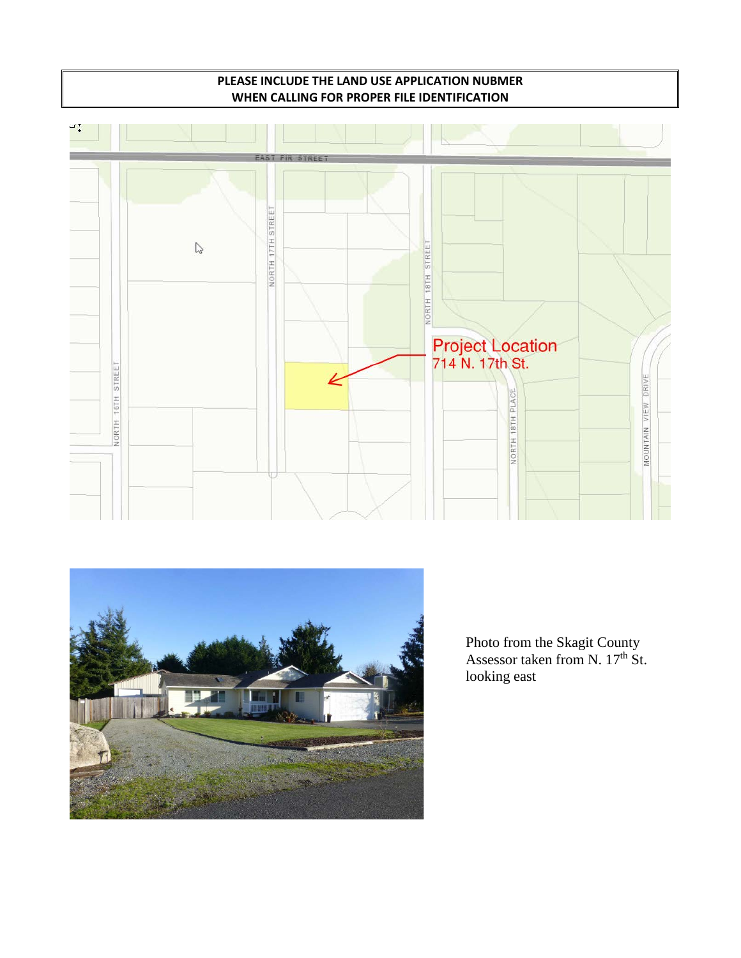### **PLEASE INCLUDE THE LAND USE APPLICATION NUBMER WHEN CALLING FOR PROPER FILE IDENTIFICATION**





Photo from the Skagit County Assessor taken from N. 17<sup>th</sup> St. looking east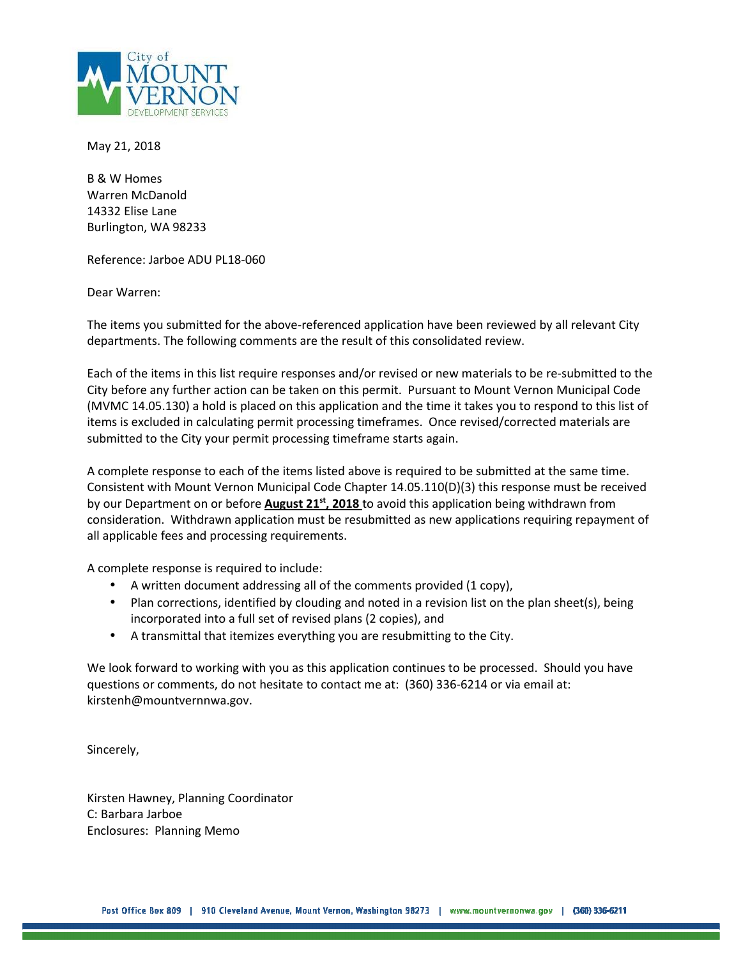

May 21, 2018

B & W Homes Warren McDanold 14332 Elise Lane Burlington, WA 98233

Reference: Jarboe ADU PL18-060

Dear Warren:

The items you submitted for the above-referenced application have been reviewed by all relevant City departments. The following comments are the result of this consolidated review.

Each of the items in this list require responses and/or revised or new materials to be re-submitted to the City before any further action can be taken on this permit. Pursuant to Mount Vernon Municipal Code (MVMC 14.05.130) a hold is placed on this application and the time it takes you to respond to this list of items is excluded in calculating permit processing timeframes. Once revised/corrected materials are submitted to the City your permit processing timeframe starts again.

A complete response to each of the items listed above is required to be submitted at the same time. Consistent with Mount Vernon Municipal Code Chapter 14.05.110(D)(3) this response must be received by our Department on or before **August 21st, 2018** to avoid this application being withdrawn from consideration. Withdrawn application must be resubmitted as new applications requiring repayment of all applicable fees and processing requirements.

A complete response is required to include:

- A written document addressing all of the comments provided (1 copy),
- Plan corrections, identified by clouding and noted in a revision list on the plan sheet(s), being incorporated into a full set of revised plans (2 copies), and
- A transmittal that itemizes everything you are resubmitting to the City.

We look forward to working with you as this application continues to be processed. Should you have questions or comments, do not hesitate to contact me at: (360) 336-6214 or via email at: kirstenh@mountvernnwa.gov.

Sincerely,

Kirsten Hawney, Planning Coordinator C: Barbara Jarboe Enclosures: Planning Memo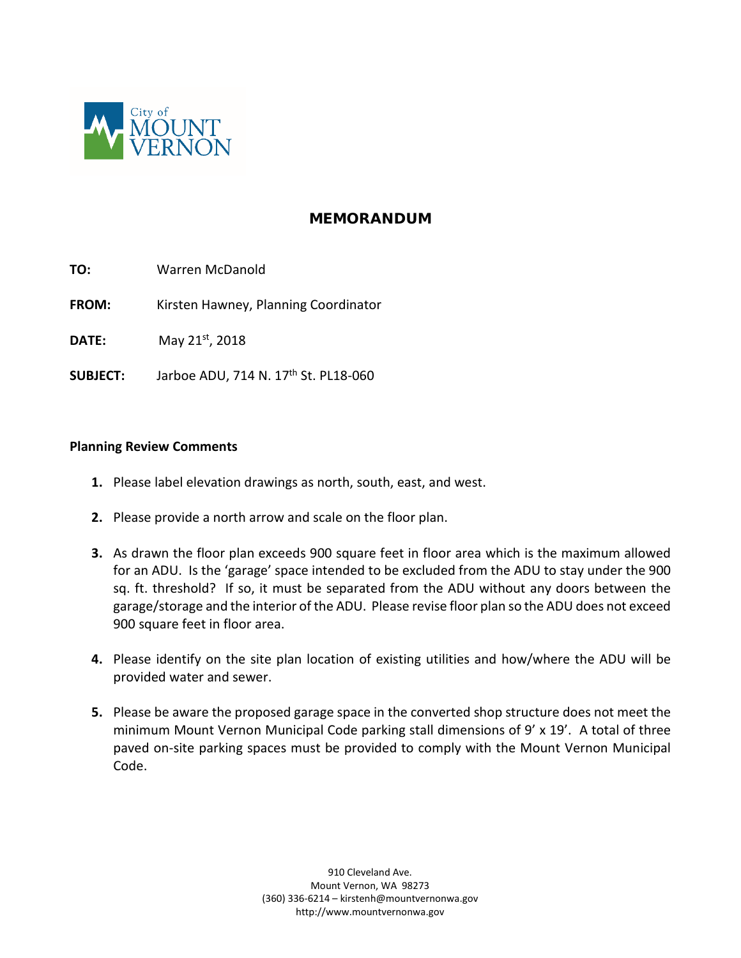

### **MEMORANDUM**

- **TO:** Warren McDanold
- **FROM:** Kirsten Hawney, Planning Coordinator
- **DATE:** May 21<sup>st</sup>, 2018
- **SUBJECT:** Jarboe ADU, 714 N. 17<sup>th</sup> St. PL18-060

#### **Planning Review Comments**

- **1.** Please label elevation drawings as north, south, east, and west.
- **2.** Please provide a north arrow and scale on the floor plan.
- **3.** As drawn the floor plan exceeds 900 square feet in floor area which is the maximum allowed for an ADU. Is the 'garage' space intended to be excluded from the ADU to stay under the 900 sq. ft. threshold? If so, it must be separated from the ADU without any doors between the garage/storage and the interior of the ADU. Please revise floor plan so the ADU does not exceed 900 square feet in floor area.
- **4.** Please identify on the site plan location of existing utilities and how/where the ADU will be provided water and sewer.
- **5.** Please be aware the proposed garage space in the converted shop structure does not meet the minimum Mount Vernon Municipal Code parking stall dimensions of 9' x 19'. A total of three paved on-site parking spaces must be provided to comply with the Mount Vernon Municipal Code.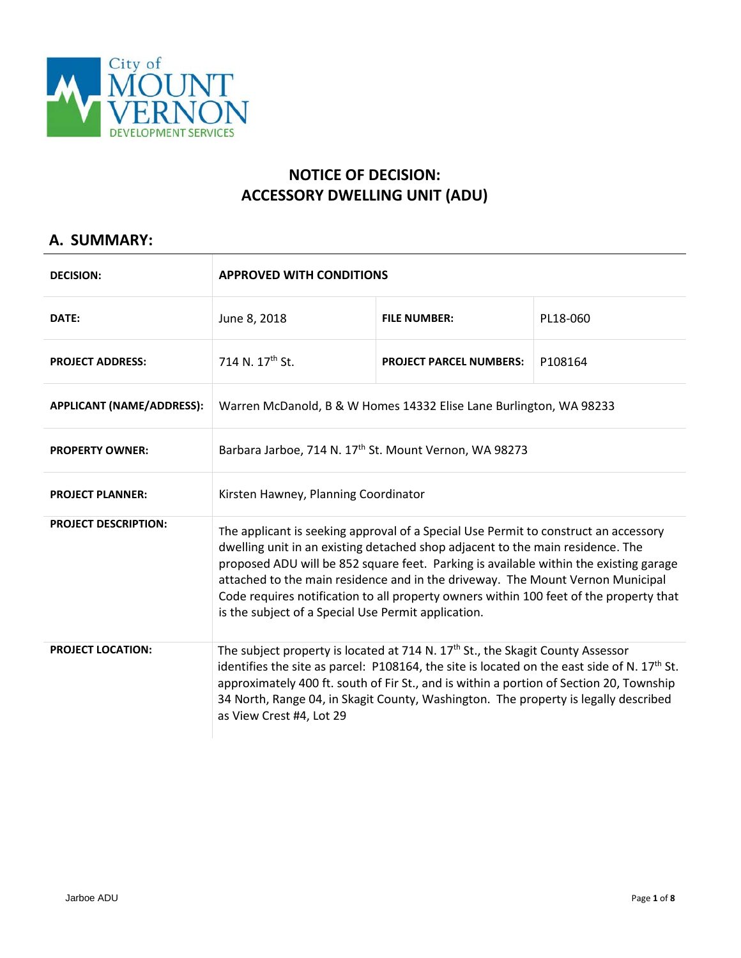

# **NOTICE OF DECISION: ACCESSORY DWELLING UNIT (ADU)**

## **A. SUMMARY:**

| <b>DECISION:</b>                 | <b>APPROVED WITH CONDITIONS</b>                                                                                                                                                                                                                                                                                                                                                                                                                                                                   |                                |          |
|----------------------------------|---------------------------------------------------------------------------------------------------------------------------------------------------------------------------------------------------------------------------------------------------------------------------------------------------------------------------------------------------------------------------------------------------------------------------------------------------------------------------------------------------|--------------------------------|----------|
| DATE:                            | June 8, 2018                                                                                                                                                                                                                                                                                                                                                                                                                                                                                      | <b>FILE NUMBER:</b>            | PL18-060 |
| <b>PROJECT ADDRESS:</b>          | 714 N. 17 <sup>th</sup> St.                                                                                                                                                                                                                                                                                                                                                                                                                                                                       | <b>PROJECT PARCEL NUMBERS:</b> | P108164  |
| <b>APPLICANT (NAME/ADDRESS):</b> | Warren McDanold, B & W Homes 14332 Elise Lane Burlington, WA 98233                                                                                                                                                                                                                                                                                                                                                                                                                                |                                |          |
| <b>PROPERTY OWNER:</b>           | Barbara Jarboe, 714 N. 17 <sup>th</sup> St. Mount Vernon, WA 98273                                                                                                                                                                                                                                                                                                                                                                                                                                |                                |          |
| <b>PROJECT PLANNER:</b>          | Kirsten Hawney, Planning Coordinator                                                                                                                                                                                                                                                                                                                                                                                                                                                              |                                |          |
| <b>PROJECT DESCRIPTION:</b>      | The applicant is seeking approval of a Special Use Permit to construct an accessory<br>dwelling unit in an existing detached shop adjacent to the main residence. The<br>proposed ADU will be 852 square feet. Parking is available within the existing garage<br>attached to the main residence and in the driveway. The Mount Vernon Municipal<br>Code requires notification to all property owners within 100 feet of the property that<br>is the subject of a Special Use Permit application. |                                |          |
| <b>PROJECT LOCATION:</b>         | The subject property is located at 714 N. 17 <sup>th</sup> St., the Skagit County Assessor<br>identifies the site as parcel: P108164, the site is located on the east side of N. $17th$ St.<br>approximately 400 ft. south of Fir St., and is within a portion of Section 20, Township<br>34 North, Range 04, in Skagit County, Washington. The property is legally described<br>as View Crest #4, Lot 29                                                                                         |                                |          |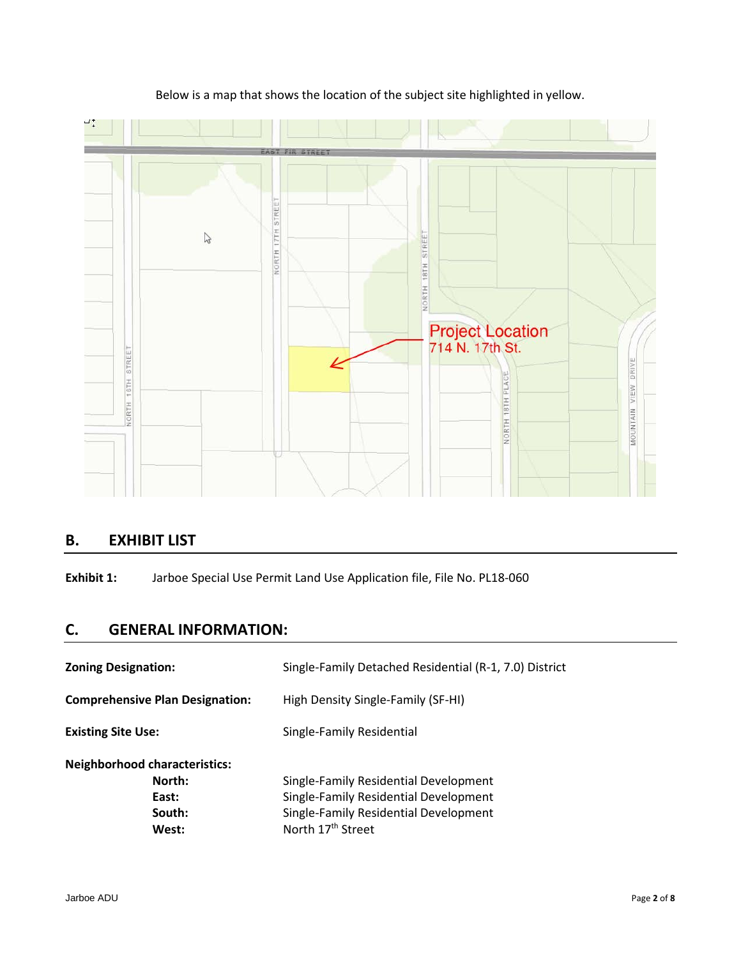

### Below is a map that shows the location of the subject site highlighted in yellow.

## **B. EXHIBIT LIST**

**Exhibit 1:** Jarboe Special Use Permit Land Use Application file, File No. PL18-060

## **C. GENERAL INFORMATION:**

| <b>Zoning Designation:</b>                                                 | Single-Family Detached Residential (R-1, 7.0) District                                                                                                   |
|----------------------------------------------------------------------------|----------------------------------------------------------------------------------------------------------------------------------------------------------|
| <b>Comprehensive Plan Designation:</b>                                     | High Density Single-Family (SF-HI)                                                                                                                       |
| <b>Existing Site Use:</b>                                                  | Single-Family Residential                                                                                                                                |
| <b>Neighborhood characteristics:</b><br>North:<br>East:<br>South:<br>West: | Single-Family Residential Development<br>Single-Family Residential Development<br>Single-Family Residential Development<br>North 17 <sup>th</sup> Street |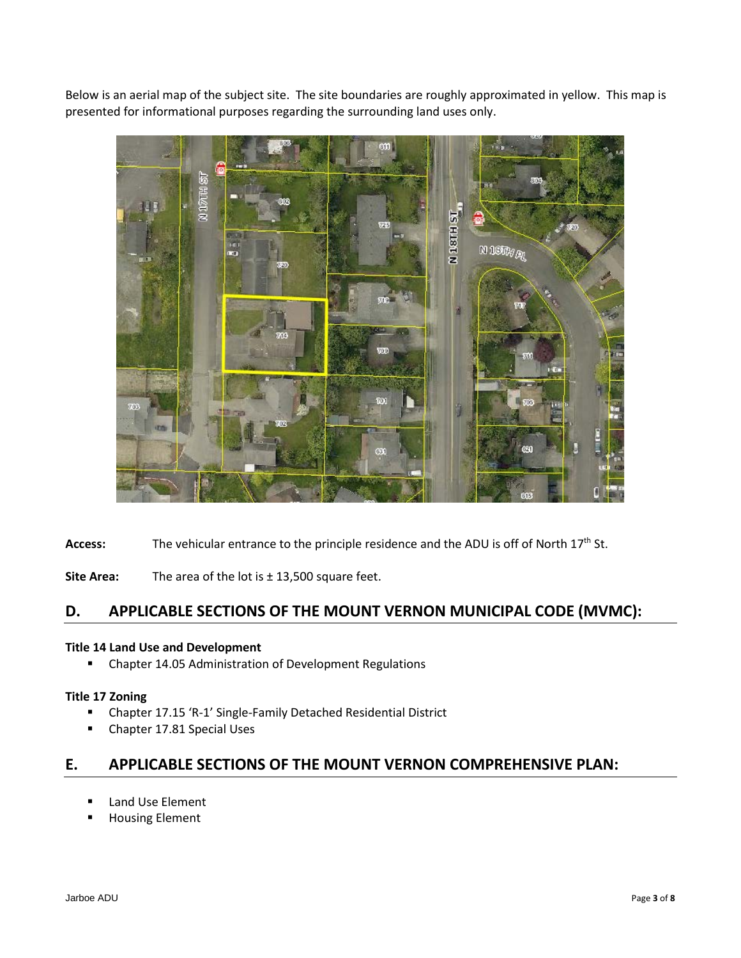Below is an aerial map of the subject site. The site boundaries are roughly approximated in yellow. This map is presented for informational purposes regarding the surrounding land uses only.



Access: The vehicular entrance to the principle residence and the ADU is off of North 17<sup>th</sup> St.

**Site Area:** The area of the lot is ± 13,500 square feet.

### **D. APPLICABLE SECTIONS OF THE MOUNT VERNON MUNICIPAL CODE (MVMC):**

#### **Title 14 Land Use and Development**

**E** Chapter 14.05 Administration of Development Regulations

#### **Title 17 Zoning**

- Chapter 17.15 'R-1' Single-Family Detached Residential District
- **Chapter 17.81 Special Uses**

### **E. APPLICABLE SECTIONS OF THE MOUNT VERNON COMPREHENSIVE PLAN:**

- **E** Land Use Element
- Housing Element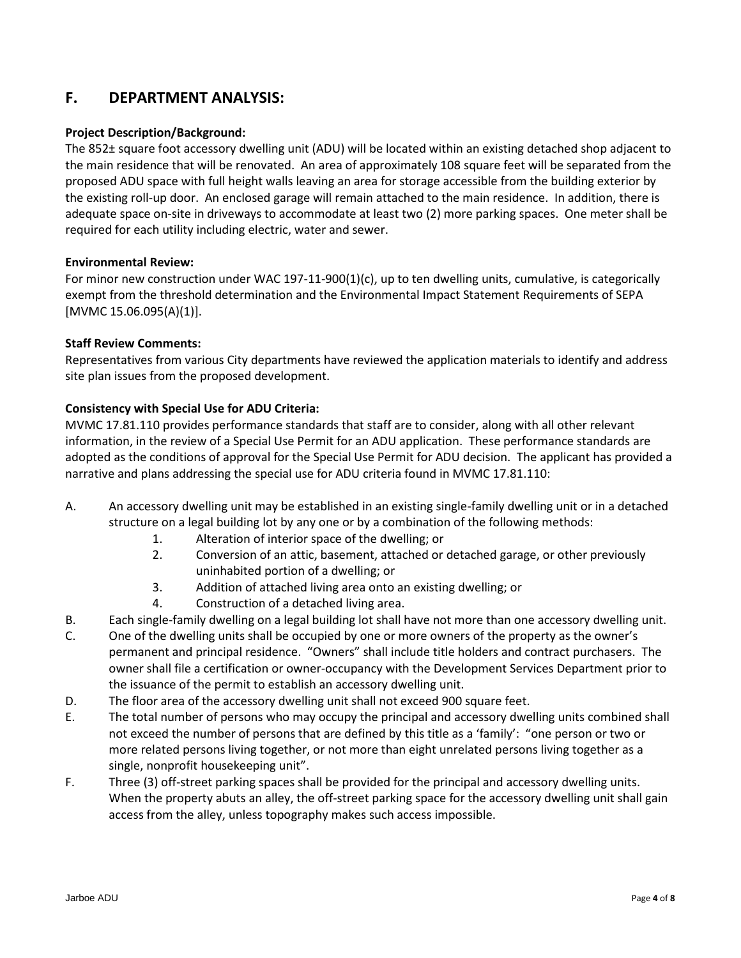## **F. DEPARTMENT ANALYSIS:**

#### **Project Description/Background:**

The 852± square foot accessory dwelling unit (ADU) will be located within an existing detached shop adjacent to the main residence that will be renovated. An area of approximately 108 square feet will be separated from the proposed ADU space with full height walls leaving an area for storage accessible from the building exterior by the existing roll-up door. An enclosed garage will remain attached to the main residence. In addition, there is adequate space on-site in driveways to accommodate at least two (2) more parking spaces. One meter shall be required for each utility including electric, water and sewer.

#### **Environmental Review:**

For minor new construction under WAC 197-11-900(1)(c), up to ten dwelling units, cumulative, is categorically exempt from the threshold determination and the Environmental Impact Statement Requirements of SEPA [MVMC 15.06.095(A)(1)].

#### **Staff Review Comments:**

Representatives from various City departments have reviewed the application materials to identify and address site plan issues from the proposed development.

#### **Consistency with Special Use for ADU Criteria:**

MVMC 17.81.110 provides performance standards that staff are to consider, along with all other relevant information, in the review of a Special Use Permit for an ADU application. These performance standards are adopted as the conditions of approval for the Special Use Permit for ADU decision. The applicant has provided a narrative and plans addressing the special use for ADU criteria found in MVMC 17.81.110:

- A. An accessory dwelling unit may be established in an existing single-family dwelling unit or in a detached structure on a legal building lot by any one or by a combination of the following methods:
	- 1. Alteration of interior space of the dwelling; or
	- 2. Conversion of an attic, basement, attached or detached garage, or other previously uninhabited portion of a dwelling; or
	- 3. Addition of attached living area onto an existing dwelling; or
	- 4. Construction of a detached living area.
- B. Each single-family dwelling on a legal building lot shall have not more than one accessory dwelling unit.
- C. One of the dwelling units shall be occupied by one or more owners of the property as the owner's permanent and principal residence. "Owners" shall include title holders and contract purchasers. The owner shall file a certification or owner-occupancy with the Development Services Department prior to the issuance of the permit to establish an accessory dwelling unit.
- D. The floor area of the accessory dwelling unit shall not exceed 900 square feet.
- E. The total number of persons who may occupy the principal and accessory dwelling units combined shall not exceed the number of persons that are defined by this title as a 'family': "one person or two or more related persons living together, or not more than eight unrelated persons living together as a single, nonprofit housekeeping unit".
- F. Three (3) off-street parking spaces shall be provided for the principal and accessory dwelling units. When the property abuts an alley, the off-street parking space for the accessory dwelling unit shall gain access from the alley, unless topography makes such access impossible.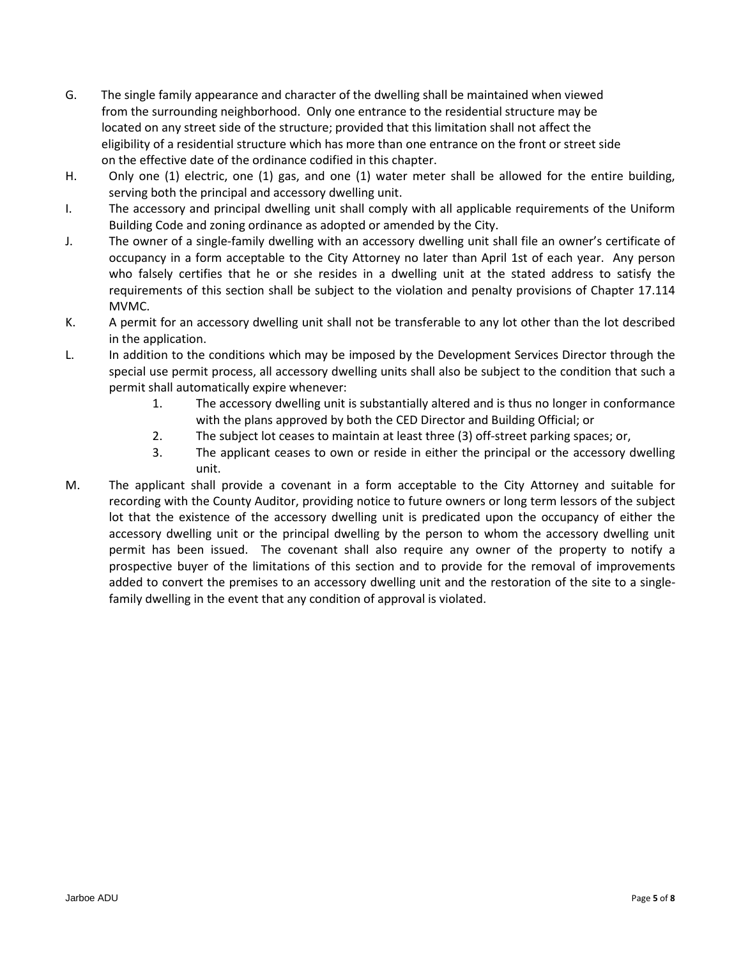- G. The single family appearance and character of the dwelling shall be maintained when viewed from the surrounding neighborhood. Only one entrance to the residential structure may be located on any street side of the structure; provided that this limitation shall not affect the eligibility of a residential structure which has more than one entrance on the front or street side on the effective date of the ordinance codified in this chapter.
- H. Only one (1) electric, one (1) gas, and one (1) water meter shall be allowed for the entire building, serving both the principal and accessory dwelling unit.
- I. The accessory and principal dwelling unit shall comply with all applicable requirements of the Uniform Building Code and zoning ordinance as adopted or amended by the City.
- J. The owner of a single-family dwelling with an accessory dwelling unit shall file an owner's certificate of occupancy in a form acceptable to the City Attorney no later than April 1st of each year. Any person who falsely certifies that he or she resides in a dwelling unit at the stated address to satisfy the requirements of this section shall be subject to the violation and penalty provisions of Chapter 17.114 MVMC.
- K. A permit for an accessory dwelling unit shall not be transferable to any lot other than the lot described in the application.
- L. In addition to the conditions which may be imposed by the Development Services Director through the special use permit process, all accessory dwelling units shall also be subject to the condition that such a permit shall automatically expire whenever:
	- 1. The accessory dwelling unit is substantially altered and is thus no longer in conformance with the plans approved by both the CED Director and Building Official; or
	- 2. The subject lot ceases to maintain at least three (3) off-street parking spaces; or,
	- 3. The applicant ceases to own or reside in either the principal or the accessory dwelling unit.
- M. The applicant shall provide a covenant in a form acceptable to the City Attorney and suitable for recording with the County Auditor, providing notice to future owners or long term lessors of the subject lot that the existence of the accessory dwelling unit is predicated upon the occupancy of either the accessory dwelling unit or the principal dwelling by the person to whom the accessory dwelling unit permit has been issued. The covenant shall also require any owner of the property to notify a prospective buyer of the limitations of this section and to provide for the removal of improvements added to convert the premises to an accessory dwelling unit and the restoration of the site to a singlefamily dwelling in the event that any condition of approval is violated.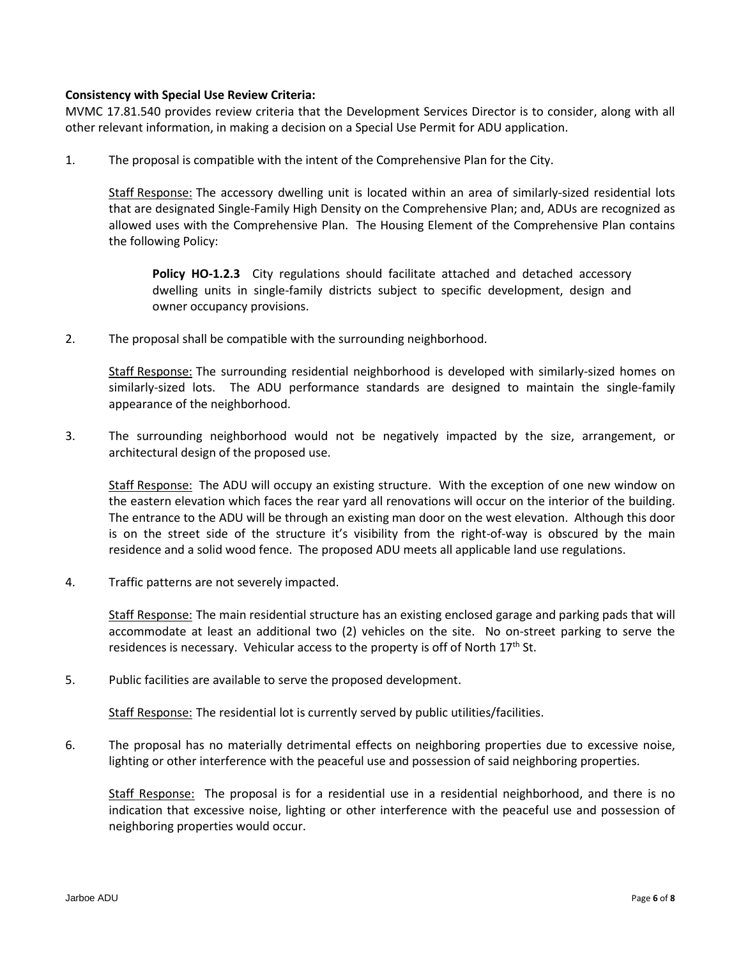#### **Consistency with Special Use Review Criteria:**

MVMC 17.81.540 provides review criteria that the Development Services Director is to consider, along with all other relevant information, in making a decision on a Special Use Permit for ADU application.

1. The proposal is compatible with the intent of the Comprehensive Plan for the City.

Staff Response: The accessory dwelling unit is located within an area of similarly-sized residential lots that are designated Single-Family High Density on the Comprehensive Plan; and, ADUs are recognized as allowed uses with the Comprehensive Plan. The Housing Element of the Comprehensive Plan contains the following Policy:

**Policy HO-1.2.3** City regulations should facilitate attached and detached accessory dwelling units in single-family districts subject to specific development, design and owner occupancy provisions.

2. The proposal shall be compatible with the surrounding neighborhood.

Staff Response: The surrounding residential neighborhood is developed with similarly-sized homes on similarly-sized lots. The ADU performance standards are designed to maintain the single-family appearance of the neighborhood.

3. The surrounding neighborhood would not be negatively impacted by the size, arrangement, or architectural design of the proposed use.

Staff Response: The ADU will occupy an existing structure. With the exception of one new window on the eastern elevation which faces the rear yard all renovations will occur on the interior of the building. The entrance to the ADU will be through an existing man door on the west elevation. Although this door is on the street side of the structure it's visibility from the right-of-way is obscured by the main residence and a solid wood fence. The proposed ADU meets all applicable land use regulations.

4. Traffic patterns are not severely impacted.

Staff Response: The main residential structure has an existing enclosed garage and parking pads that will accommodate at least an additional two (2) vehicles on the site. No on-street parking to serve the residences is necessary. Vehicular access to the property is off of North  $17<sup>th</sup>$  St.

5. Public facilities are available to serve the proposed development.

Staff Response: The residential lot is currently served by public utilities/facilities.

6. The proposal has no materially detrimental effects on neighboring properties due to excessive noise, lighting or other interference with the peaceful use and possession of said neighboring properties.

Staff Response: The proposal is for a residential use in a residential neighborhood, and there is no indication that excessive noise, lighting or other interference with the peaceful use and possession of neighboring properties would occur.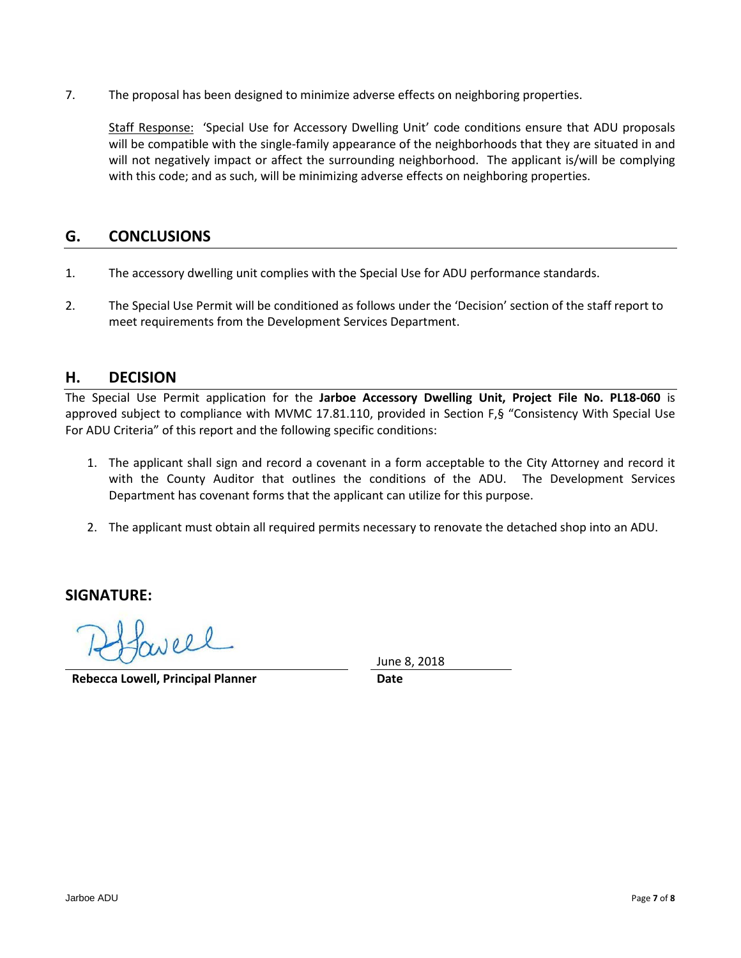7. The proposal has been designed to minimize adverse effects on neighboring properties.

Staff Response: 'Special Use for Accessory Dwelling Unit' code conditions ensure that ADU proposals will be compatible with the single-family appearance of the neighborhoods that they are situated in and will not negatively impact or affect the surrounding neighborhood. The applicant is/will be complying with this code; and as such, will be minimizing adverse effects on neighboring properties.

### **G. CONCLUSIONS**

- 1. The accessory dwelling unit complies with the Special Use for ADU performance standards.
- 2. The Special Use Permit will be conditioned as follows under the 'Decision' section of the staff report to meet requirements from the Development Services Department.

### **H. DECISION**

The Special Use Permit application for the **Jarboe Accessory Dwelling Unit, Project File No. PL18-060** is approved subject to compliance with MVMC 17.81.110, provided in Section F,§ "Consistency With Special Use For ADU Criteria" of this report and the following specific conditions:

- 1. The applicant shall sign and record a covenant in a form acceptable to the City Attorney and record it with the County Auditor that outlines the conditions of the ADU. The Development Services Department has covenant forms that the applicant can utilize for this purpose.
- 2. The applicant must obtain all required permits necessary to renovate the detached shop into an ADU.

**SIGNATURE:**

 $100l$ 

**Rebecca Lowell, Principal Planner Date**

June 8, 2018